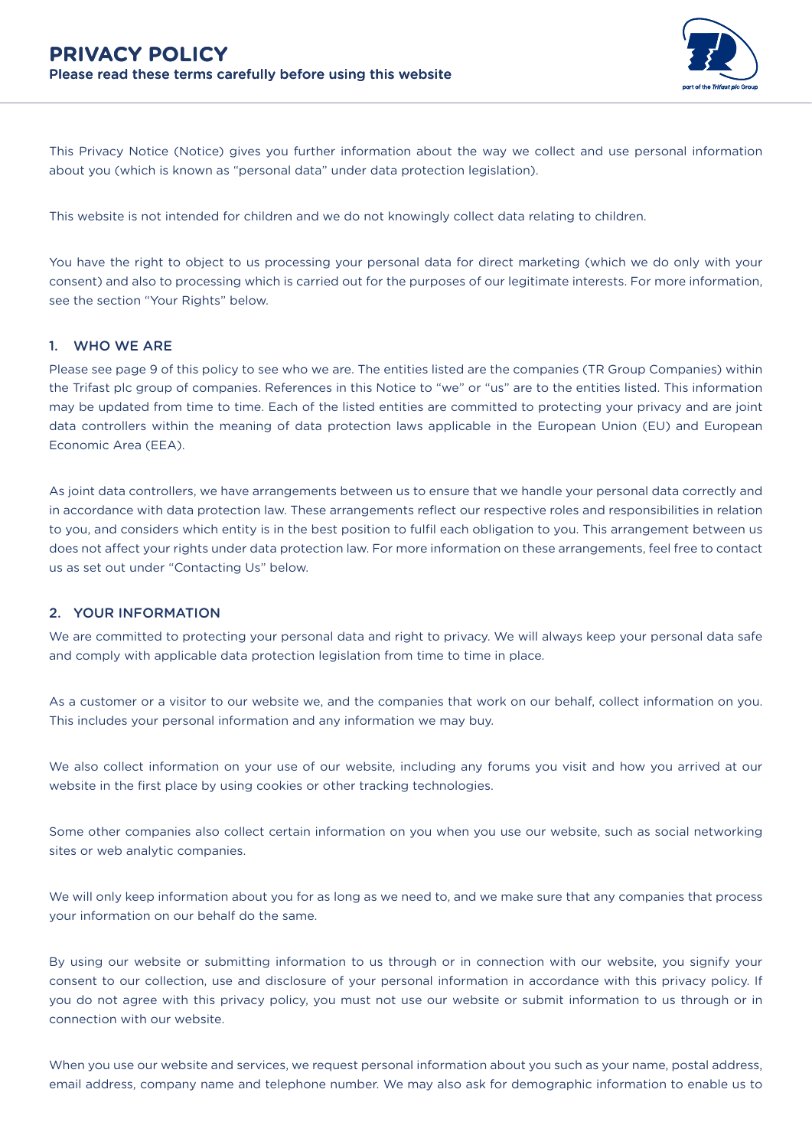

This Privacy Notice (Notice) gives you further information about the way we collect and use personal information about you (which is known as "personal data" under data protection legislation).

This website is not intended for children and we do not knowingly collect data relating to children.

You have the right to object to us processing your personal data for direct marketing (which we do only with your consent) and also to processing which is carried out for the purposes of our legitimate interests. For more information, see the section "Your Rights" below.

#### 1. WHO WE ARE

Please see page 9 of this policy to see who we are. The entities listed are the companies (TR Group Companies) within the Trifast plc group of companies. References in this Notice to "we" or "us" are to the entities listed. This information may be updated from time to time. Each of the listed entities are committed to protecting your privacy and are joint data controllers within the meaning of data protection laws applicable in the European Union (EU) and European Economic Area (EEA).

As joint data controllers, we have arrangements between us to ensure that we handle your personal data correctly and in accordance with data protection law. These arrangements reflect our respective roles and responsibilities in relation to you, and considers which entity is in the best position to fulfil each obligation to you. This arrangement between us does not affect your rights under data protection law. For more information on these arrangements, feel free to contact us as set out under "Contacting Us" below.

#### 2. YOUR INFORMATION

We are committed to protecting your personal data and right to privacy. We will always keep your personal data safe and comply with applicable data protection legislation from time to time in place.

As a customer or a visitor to our website we, and the companies that work on our behalf, collect information on you. This includes your personal information and any information we may buy.

We also collect information on your use of our website, including any forums you visit and how you arrived at our website in the first place by using cookies or other tracking technologies.

Some other companies also collect certain information on you when you use our website, such as social networking sites or web analytic companies.

We will only keep information about you for as long as we need to, and we make sure that any companies that process your information on our behalf do the same.

By using our website or submitting information to us through or in connection with our website, you signify your consent to our collection, use and disclosure of your personal information in accordance with this privacy policy. If you do not agree with this privacy policy, you must not use our website or submit information to us through or in connection with our website.

When you use our website and services, we request personal information about you such as your name, postal address, email address, company name and telephone number. We may also ask for demographic information to enable us to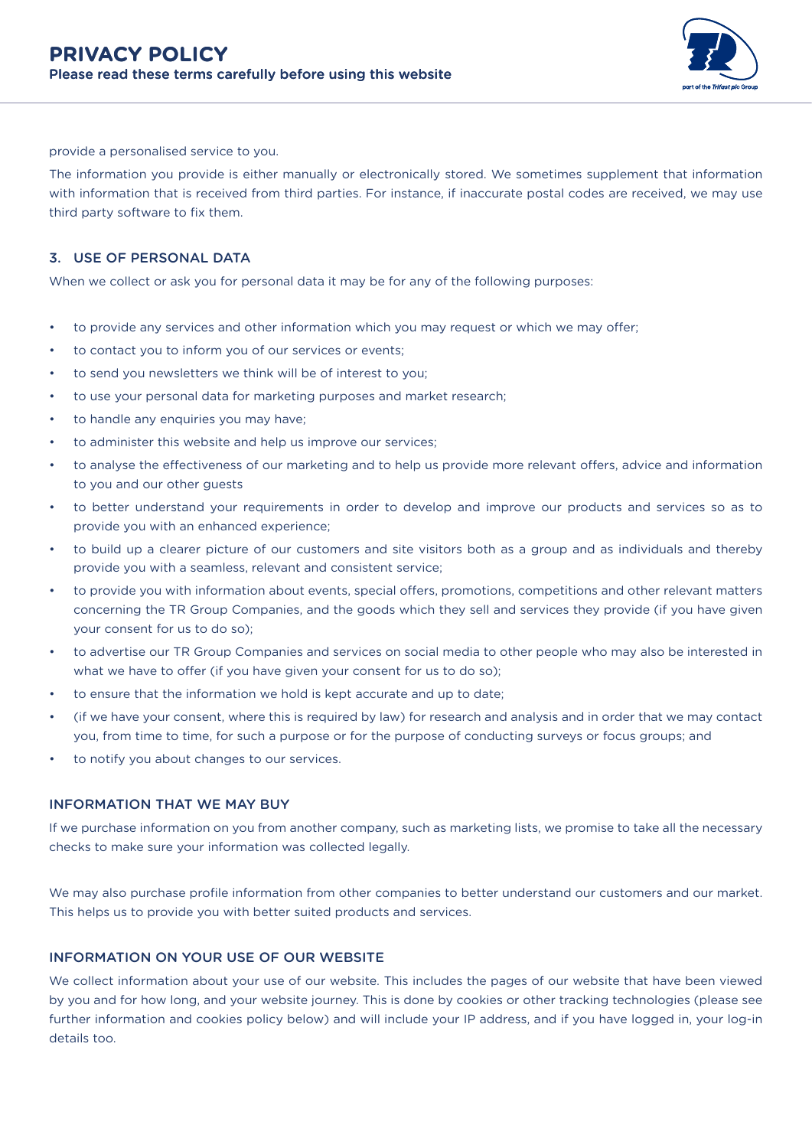

provide a personalised service to you.

The information you provide is either manually or electronically stored. We sometimes supplement that information with information that is received from third parties. For instance, if inaccurate postal codes are received, we may use third party software to fix them.

## 3. USE OF PERSONAL DATA

When we collect or ask you for personal data it may be for any of the following purposes:

- to provide any services and other information which you may request or which we may offer;
- to contact you to inform you of our services or events;
- to send you newsletters we think will be of interest to you;
- to use your personal data for marketing purposes and market research;
- to handle any enquiries you may have;
- to administer this website and help us improve our services;
- to analyse the effectiveness of our marketing and to help us provide more relevant offers, advice and information to you and our other guests
- to better understand your requirements in order to develop and improve our products and services so as to provide you with an enhanced experience;
- to build up a clearer picture of our customers and site visitors both as a group and as individuals and thereby provide you with a seamless, relevant and consistent service;
- to provide you with information about events, special offers, promotions, competitions and other relevant matters concerning the TR Group Companies, and the goods which they sell and services they provide (if you have given your consent for us to do so);
- to advertise our TR Group Companies and services on social media to other people who may also be interested in what we have to offer (if you have given your consent for us to do so);
- to ensure that the information we hold is kept accurate and up to date;
- (if we have your consent, where this is required by law) for research and analysis and in order that we may contact you, from time to time, for such a purpose or for the purpose of conducting surveys or focus groups; and
- to notify you about changes to our services.

#### INFORMATION THAT WE MAY BUY

If we purchase information on you from another company, such as marketing lists, we promise to take all the necessary checks to make sure your information was collected legally.

We may also purchase profile information from other companies to better understand our customers and our market. This helps us to provide you with better suited products and services.

#### INFORMATION ON YOUR USE OF OUR WEBSITE

We collect information about your use of our website. This includes the pages of our website that have been viewed by you and for how long, and your website journey. This is done by cookies or other tracking technologies (please see further information and cookies policy below) and will include your IP address, and if you have logged in, your log-in details too.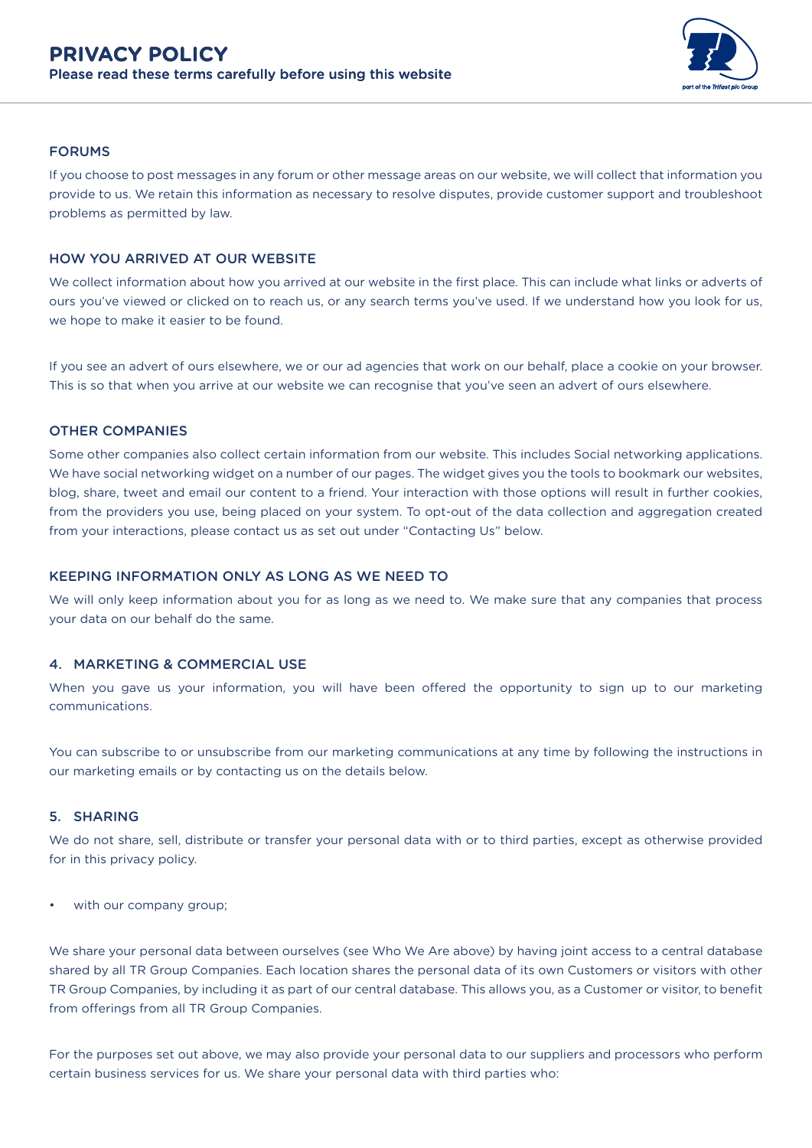

# FORUMS

If you choose to post messages in any forum or other message areas on our website, we will collect that information you provide to us. We retain this information as necessary to resolve disputes, provide customer support and troubleshoot problems as permitted by law.

# HOW YOU ARRIVED AT OUR WEBSITE

We collect information about how you arrived at our website in the first place. This can include what links or adverts of ours you've viewed or clicked on to reach us, or any search terms you've used. If we understand how you look for us, we hope to make it easier to be found.

If you see an advert of ours elsewhere, we or our ad agencies that work on our behalf, place a cookie on your browser. This is so that when you arrive at our website we can recognise that you've seen an advert of ours elsewhere.

## OTHER COMPANIES

Some other companies also collect certain information from our website. This includes Social networking applications. We have social networking widget on a number of our pages. The widget gives you the tools to bookmark our websites, blog, share, tweet and email our content to a friend. Your interaction with those options will result in further cookies, from the providers you use, being placed on your system. To opt-out of the data collection and aggregation created from your interactions, please contact us as set out under "Contacting Us" below.

# KEEPING INFORMATION ONLY AS LONG AS WE NEED TO

We will only keep information about you for as long as we need to. We make sure that any companies that process your data on our behalf do the same.

## 4. MARKETING & COMMERCIAL USE

When you gave us your information, you will have been offered the opportunity to sign up to our marketing communications.

You can subscribe to or unsubscribe from our marketing communications at any time by following the instructions in our marketing emails or by contacting us on the details below.

#### 5. SHARING

We do not share, sell, distribute or transfer your personal data with or to third parties, except as otherwise provided for in this privacy policy.

with our company group;

We share your personal data between ourselves (see Who We Are above) by having joint access to a central database shared by all TR Group Companies. Each location shares the personal data of its own Customers or visitors with other TR Group Companies, by including it as part of our central database. This allows you, as a Customer or visitor, to benefit from offerings from all TR Group Companies.

For the purposes set out above, we may also provide your personal data to our suppliers and processors who perform certain business services for us. We share your personal data with third parties who: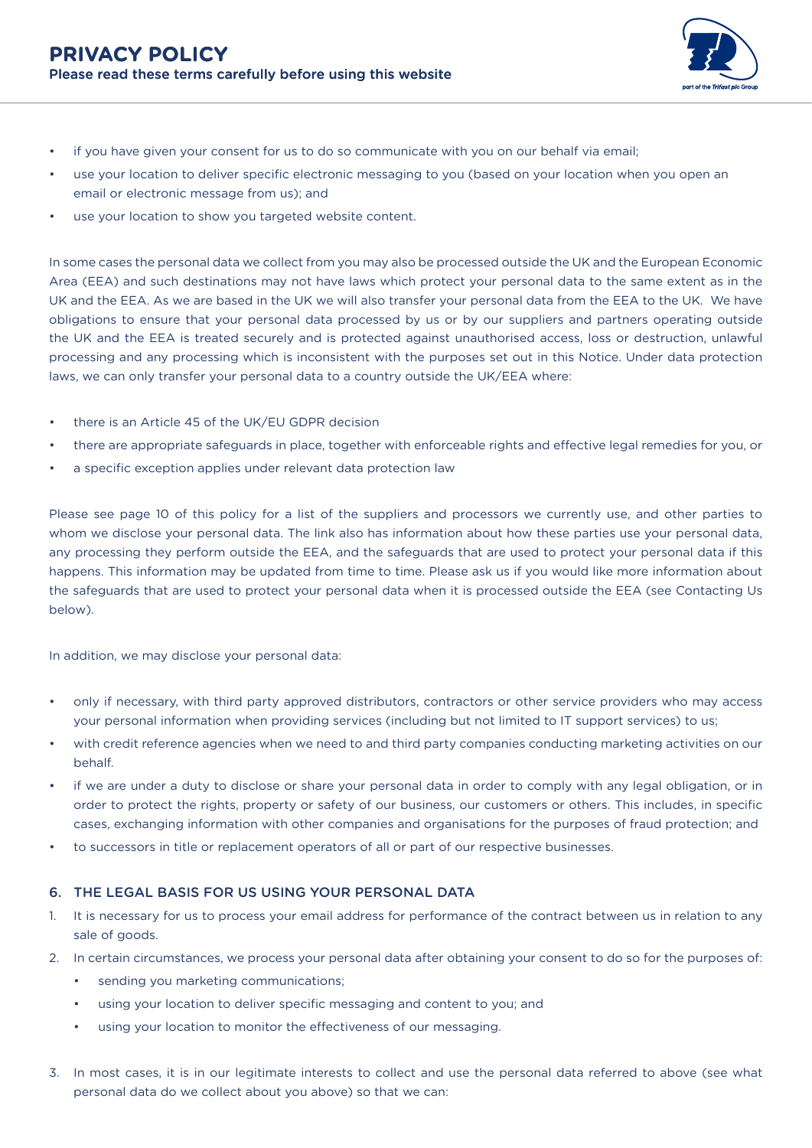

- if you have given your consent for us to do so communicate with you on our behalf via email;
- use your location to deliver specific electronic messaging to you (based on your location when you open an email or electronic message from us); and
- use your location to show you targeted website content.

In some cases the personal data we collect from you may also be processed outside the UK and the European Economic Area (EEA) and such destinations may not have laws which protect your personal data to the same extent as in the UK and the EEA. As we are based in the UK we will also transfer your personal data from the EEA to the UK. We have obligations to ensure that your personal data processed by us or by our suppliers and partners operating outside the UK and the EEA is treated securely and is protected against unauthorised access, loss or destruction, unlawful processing and any processing which is inconsistent with the purposes set out in this Notice. Under data protection laws, we can only transfer your personal data to a country outside the UK/EEA where:

- there is an Article 45 of the UK/EU GDPR decision
- there are appropriate safeguards in place, together with enforceable rights and effective legal remedies for you, or
- a specific exception applies under relevant data protection law

Please see page 10 of this policy for a list of the suppliers and processors we currently use, and other parties to whom we disclose your personal data. The link also has information about how these parties use your personal data, any processing they perform outside the EEA, and the safeguards that are used to protect your personal data if this happens. This information may be updated from time to time. Please ask us if you would like more information about the safeguards that are used to protect your personal data when it is processed outside the EEA (see Contacting Us below).

In addition, we may disclose your personal data:

- only if necessary, with third party approved distributors, contractors or other service providers who may access your personal information when providing services (including but not limited to IT support services) to us;
- with credit reference agencies when we need to and third party companies conducting marketing activities on our behalf.
- if we are under a duty to disclose or share your personal data in order to comply with any legal obligation, or in order to protect the rights, property or safety of our business, our customers or others. This includes, in specific cases, exchanging information with other companies and organisations for the purposes of fraud protection; and
- to successors in title or replacement operators of all or part of our respective businesses.

# 6. THE LEGAL BASIS FOR US USING YOUR PERSONAL DATA

- 1. It is necessary for us to process your email address for performance of the contract between us in relation to any sale of goods.
- 2. In certain circumstances, we process your personal data after obtaining your consent to do so for the purposes of:
	- sending you marketing communications;
	- using your location to deliver specific messaging and content to you; and
	- using your location to monitor the effectiveness of our messaging.
- 3. In most cases, it is in our legitimate interests to collect and use the personal data referred to above (see what personal data do we collect about you above) so that we can: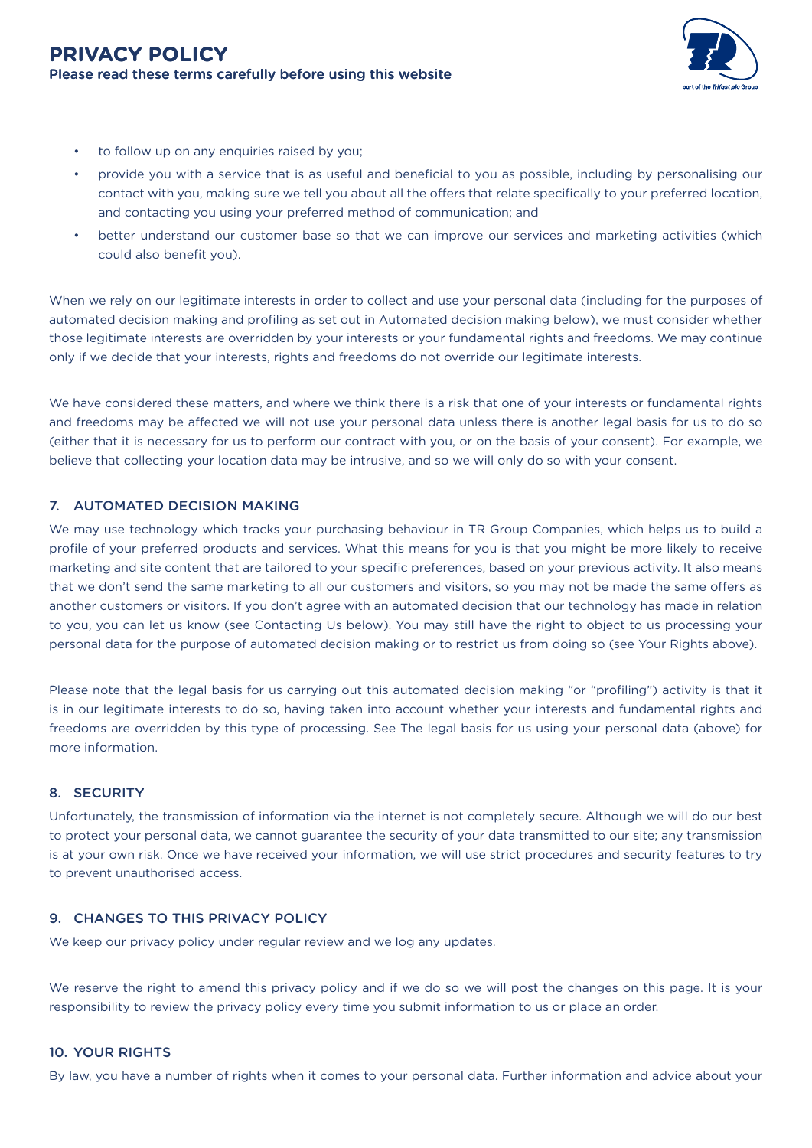

- to follow up on any enquiries raised by you;
- provide you with a service that is as useful and beneficial to you as possible, including by personalising our contact with you, making sure we tell you about all the offers that relate specifically to your preferred location, and contacting you using your preferred method of communication; and
- better understand our customer base so that we can improve our services and marketing activities (which could also benefit you).

When we rely on our legitimate interests in order to collect and use your personal data (including for the purposes of automated decision making and profiling as set out in Automated decision making below), we must consider whether those legitimate interests are overridden by your interests or your fundamental rights and freedoms. We may continue only if we decide that your interests, rights and freedoms do not override our legitimate interests.

We have considered these matters, and where we think there is a risk that one of your interests or fundamental rights and freedoms may be affected we will not use your personal data unless there is another legal basis for us to do so (either that it is necessary for us to perform our contract with you, or on the basis of your consent). For example, we believe that collecting your location data may be intrusive, and so we will only do so with your consent.

## 7. AUTOMATED DECISION MAKING

We may use technology which tracks your purchasing behaviour in TR Group Companies, which helps us to build a profile of your preferred products and services. What this means for you is that you might be more likely to receive marketing and site content that are tailored to your specific preferences, based on your previous activity. It also means that we don't send the same marketing to all our customers and visitors, so you may not be made the same offers as another customers or visitors. If you don't agree with an automated decision that our technology has made in relation to you, you can let us know (see Contacting Us below). You may still have the right to object to us processing your personal data for the purpose of automated decision making or to restrict us from doing so (see Your Rights above).

Please note that the legal basis for us carrying out this automated decision making "or "profiling") activity is that it is in our legitimate interests to do so, having taken into account whether your interests and fundamental rights and freedoms are overridden by this type of processing. See The legal basis for us using your personal data (above) for more information.

#### 8. SECURITY

Unfortunately, the transmission of information via the internet is not completely secure. Although we will do our best to protect your personal data, we cannot guarantee the security of your data transmitted to our site; any transmission is at your own risk. Once we have received your information, we will use strict procedures and security features to try to prevent unauthorised access.

# 9. CHANGES TO THIS PRIVACY POLICY

We keep our privacy policy under regular review and we log any updates.

We reserve the right to amend this privacy policy and if we do so we will post the changes on this page. It is your responsibility to review the privacy policy every time you submit information to us or place an order.

#### 10. YOUR RIGHTS

By law, you have a number of rights when it comes to your personal data. Further information and advice about your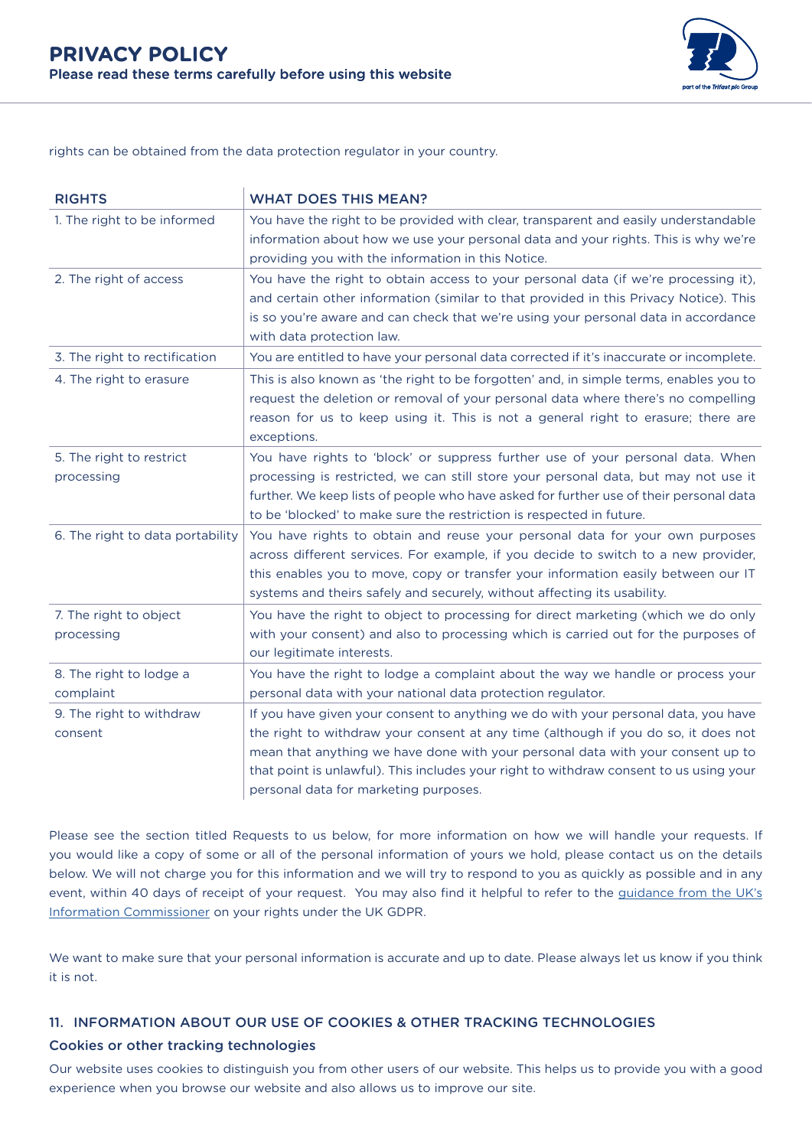

rights can be obtained from the data protection regulator in your country.

| <b>RIGHTS</b>                          | <b>WHAT DOES THIS MEAN?</b>                                                                                                                                                                                                                                                                                                                                                                    |
|----------------------------------------|------------------------------------------------------------------------------------------------------------------------------------------------------------------------------------------------------------------------------------------------------------------------------------------------------------------------------------------------------------------------------------------------|
| 1. The right to be informed            | You have the right to be provided with clear, transparent and easily understandable<br>information about how we use your personal data and your rights. This is why we're<br>providing you with the information in this Notice.                                                                                                                                                                |
| 2. The right of access                 | You have the right to obtain access to your personal data (if we're processing it),<br>and certain other information (similar to that provided in this Privacy Notice). This<br>is so you're aware and can check that we're using your personal data in accordance<br>with data protection law.                                                                                                |
| 3. The right to rectification          | You are entitled to have your personal data corrected if it's inaccurate or incomplete.                                                                                                                                                                                                                                                                                                        |
| 4. The right to erasure                | This is also known as 'the right to be forgotten' and, in simple terms, enables you to<br>request the deletion or removal of your personal data where there's no compelling<br>reason for us to keep using it. This is not a general right to erasure; there are<br>exceptions.                                                                                                                |
| 5. The right to restrict<br>processing | You have rights to 'block' or suppress further use of your personal data. When<br>processing is restricted, we can still store your personal data, but may not use it<br>further. We keep lists of people who have asked for further use of their personal data<br>to be 'blocked' to make sure the restriction is respected in future.                                                        |
| 6. The right to data portability       | You have rights to obtain and reuse your personal data for your own purposes<br>across different services. For example, if you decide to switch to a new provider,<br>this enables you to move, copy or transfer your information easily between our IT<br>systems and theirs safely and securely, without affecting its usability.                                                            |
| 7. The right to object<br>processing   | You have the right to object to processing for direct marketing (which we do only<br>with your consent) and also to processing which is carried out for the purposes of<br>our legitimate interests.                                                                                                                                                                                           |
| 8. The right to lodge a<br>complaint   | You have the right to lodge a complaint about the way we handle or process your<br>personal data with your national data protection regulator.                                                                                                                                                                                                                                                 |
| 9. The right to withdraw<br>consent    | If you have given your consent to anything we do with your personal data, you have<br>the right to withdraw your consent at any time (although if you do so, it does not<br>mean that anything we have done with your personal data with your consent up to<br>that point is unlawful). This includes your right to withdraw consent to us using your<br>personal data for marketing purposes. |

Please see the section titled Requests to us below, for more information on how we will handle your requests. If you would like a copy of some or all of the personal information of yours we hold, please contact us on the details below. We will not charge you for this information and we will try to respond to you as quickly as possible and in any event, within 40 days of receipt of your request. You may also find it helpful to refer to the [guidance from the UK's](https://ico.org.uk/your-data-matters/online/cookies/) [Information Commissioner](https://ico.org.uk/your-data-matters/online/cookies/) on your rights under the UK GDPR.

We want to make sure that your personal information is accurate and up to date. Please always let us know if you think it is not.

# 11. INFORMATION ABOUT OUR USE OF COOKIES & OTHER TRACKING TECHNOLOGIES

# Cookies or other tracking technologies

Our website uses cookies to distinguish you from other users of our website. This helps us to provide you with a good experience when you browse our website and also allows us to improve our site.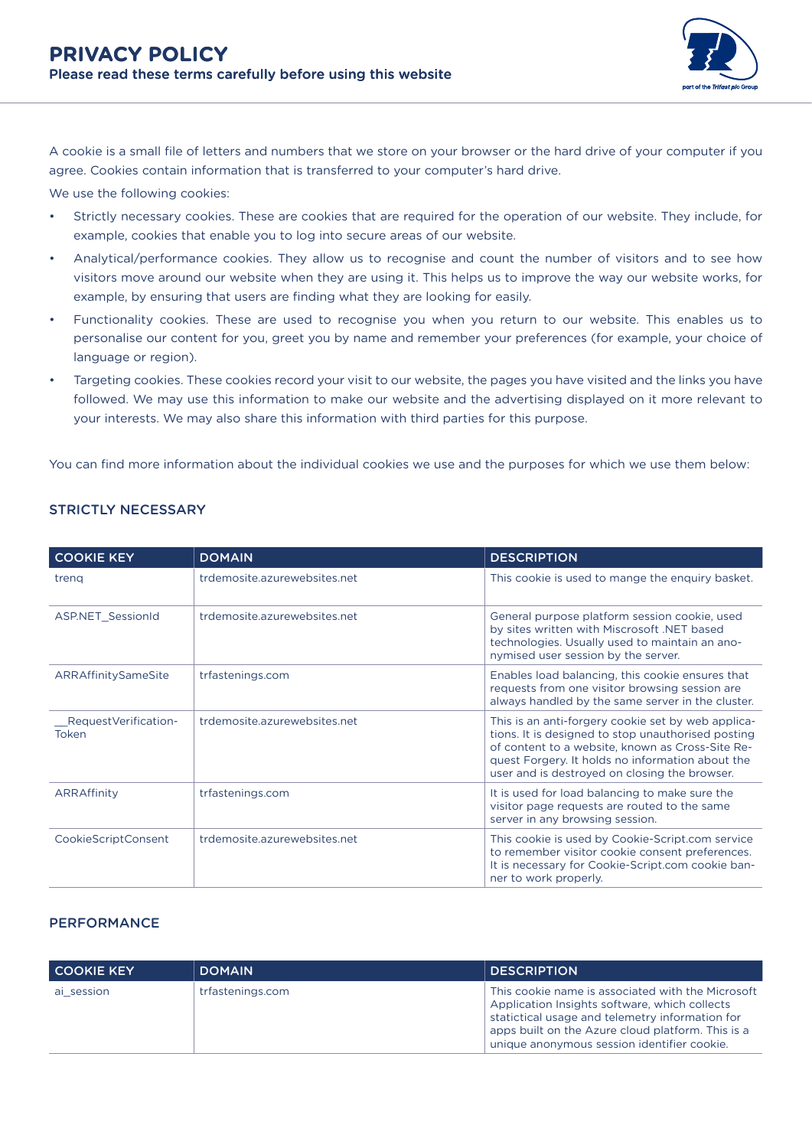

A cookie is a small file of letters and numbers that we store on your browser or the hard drive of your computer if you agree. Cookies contain information that is transferred to your computer's hard drive.

We use the following cookies:

- Strictly necessary cookies. These are cookies that are required for the operation of our website. They include, for example, cookies that enable you to log into secure areas of our website.
- Analytical/performance cookies. They allow us to recognise and count the number of visitors and to see how visitors move around our website when they are using it. This helps us to improve the way our website works, for example, by ensuring that users are finding what they are looking for easily.
- Functionality cookies. These are used to recognise you when you return to our website. This enables us to personalise our content for you, greet you by name and remember your preferences (for example, your choice of language or region).
- Targeting cookies. These cookies record your visit to our website, the pages you have visited and the links you have followed. We may use this information to make our website and the advertising displayed on it more relevant to your interests. We may also share this information with third parties for this purpose.

You can find more information about the individual cookies we use and the purposes for which we use them below:

| <b>COOKIE KEY</b>             | <b>DOMAIN</b>                | <b>DESCRIPTION</b>                                                                                                                                                                                                                                                |
|-------------------------------|------------------------------|-------------------------------------------------------------------------------------------------------------------------------------------------------------------------------------------------------------------------------------------------------------------|
| treng                         | trdemosite.azurewebsites.net | This cookie is used to mange the enquiry basket.                                                                                                                                                                                                                  |
| <b>ASP.NET SessionId</b>      | trdemosite.azurewebsites.net | General purpose platform session cookie, used<br>by sites written with Miscrosoft .NET based<br>technologies. Usually used to maintain an ano-<br>nymised user session by the server.                                                                             |
| ARRAffinitySameSite           | trfastenings.com             | Enables load balancing, this cookie ensures that<br>requests from one visitor browsing session are<br>always handled by the same server in the cluster.                                                                                                           |
| RequestVerification-<br>Token | trdemosite.azurewebsites.net | This is an anti-forgery cookie set by web applica-<br>tions. It is designed to stop unauthorised posting<br>of content to a website, known as Cross-Site Re-<br>quest Forgery. It holds no information about the<br>user and is destroyed on closing the browser. |
| ARRAffinity                   | trfastenings.com             | It is used for load balancing to make sure the<br>visitor page requests are routed to the same<br>server in any browsing session.                                                                                                                                 |
| <b>CookieScriptConsent</b>    | trdemosite.azurewebsites.net | This cookie is used by Cookie-Script.com service<br>to remember visitor cookie consent preferences.<br>It is necessary for Cookie-Script.com cookie ban-<br>ner to work properly.                                                                                 |

# STRICTLY NECESSARY

## **PERFORMANCE**

| <b>COOKIE KEY</b> | <b>DOMAIN</b>    | <b>DESCRIPTION</b>                                                                                                                                                                                                                                        |
|-------------------|------------------|-----------------------------------------------------------------------------------------------------------------------------------------------------------------------------------------------------------------------------------------------------------|
| ai session        | trfastenings.com | This cookie name is associated with the Microsoft<br>Application Insights software, which collects<br>statictical usage and telemetry information for<br>apps built on the Azure cloud platform. This is a<br>unique anonymous session identifier cookie. |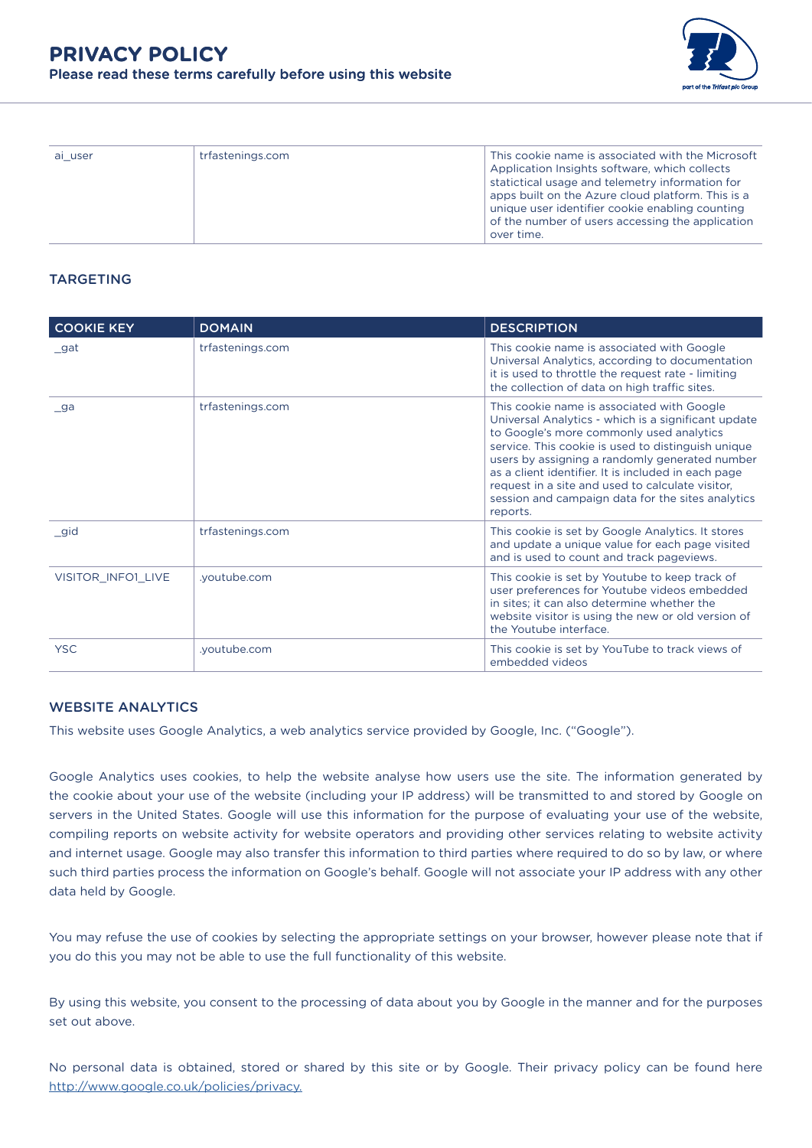

| ai user | trfastenings.com | This cookie name is associated with the Microsoft<br>Application Insights software, which collects<br>statictical usage and telemetry information for<br>apps built on the Azure cloud platform. This is a<br>unique user identifier cookie enabling counting<br>of the number of users accessing the application<br>over time. |
|---------|------------------|---------------------------------------------------------------------------------------------------------------------------------------------------------------------------------------------------------------------------------------------------------------------------------------------------------------------------------|

# TARGETING

| <b>COOKIE KEY</b>  | <b>DOMAIN</b>    | <b>DESCRIPTION</b>                                                                                                                                                                                                                                                                                                                                                                                                                |
|--------------------|------------------|-----------------------------------------------------------------------------------------------------------------------------------------------------------------------------------------------------------------------------------------------------------------------------------------------------------------------------------------------------------------------------------------------------------------------------------|
| gat                | trfastenings.com | This cookie name is associated with Google<br>Universal Analytics, according to documentation<br>it is used to throttle the request rate - limiting<br>the collection of data on high traffic sites.                                                                                                                                                                                                                              |
| ga                 | trfastenings.com | This cookie name is associated with Google<br>Universal Analytics - which is a significant update<br>to Google's more commonly used analytics<br>service. This cookie is used to distinguish unique<br>users by assigning a randomly generated number<br>as a client identifier. It is included in each page<br>request in a site and used to calculate visitor,<br>session and campaign data for the sites analytics<br>reports. |
| gid                | trfastenings.com | This cookie is set by Google Analytics. It stores<br>and update a unique value for each page visited<br>and is used to count and track pageviews.                                                                                                                                                                                                                                                                                 |
| VISITOR INFO1 LIVE | .youtube.com     | This cookie is set by Youtube to keep track of<br>user preferences for Youtube videos embedded<br>in sites; it can also determine whether the<br>website visitor is using the new or old version of<br>the Youtube interface.                                                                                                                                                                                                     |
| <b>YSC</b>         | .youtube.com     | This cookie is set by YouTube to track views of<br>embedded videos                                                                                                                                                                                                                                                                                                                                                                |

# WEBSITE ANALYTICS

This website uses Google Analytics, a web analytics service provided by Google, Inc. ("Google").

Google Analytics uses cookies, to help the website analyse how users use the site. The information generated by the cookie about your use of the website (including your IP address) will be transmitted to and stored by Google on servers in the United States. Google will use this information for the purpose of evaluating your use of the website, compiling reports on website activity for website operators and providing other services relating to website activity and internet usage. Google may also transfer this information to third parties where required to do so by law, or where such third parties process the information on Google's behalf. Google will not associate your IP address with any other data held by Google.

You may refuse the use of cookies by selecting the appropriate settings on your browser, however please note that if you do this you may not be able to use the full functionality of this website.

By using this website, you consent to the processing of data about you by Google in the manner and for the purposes set out above.

No personal data is obtained, stored or shared by this site or by Google. Their privacy policy can be found here [http://www.google.co.uk/policies/privacy.](https://policies.google.com/privacy?gl=uk)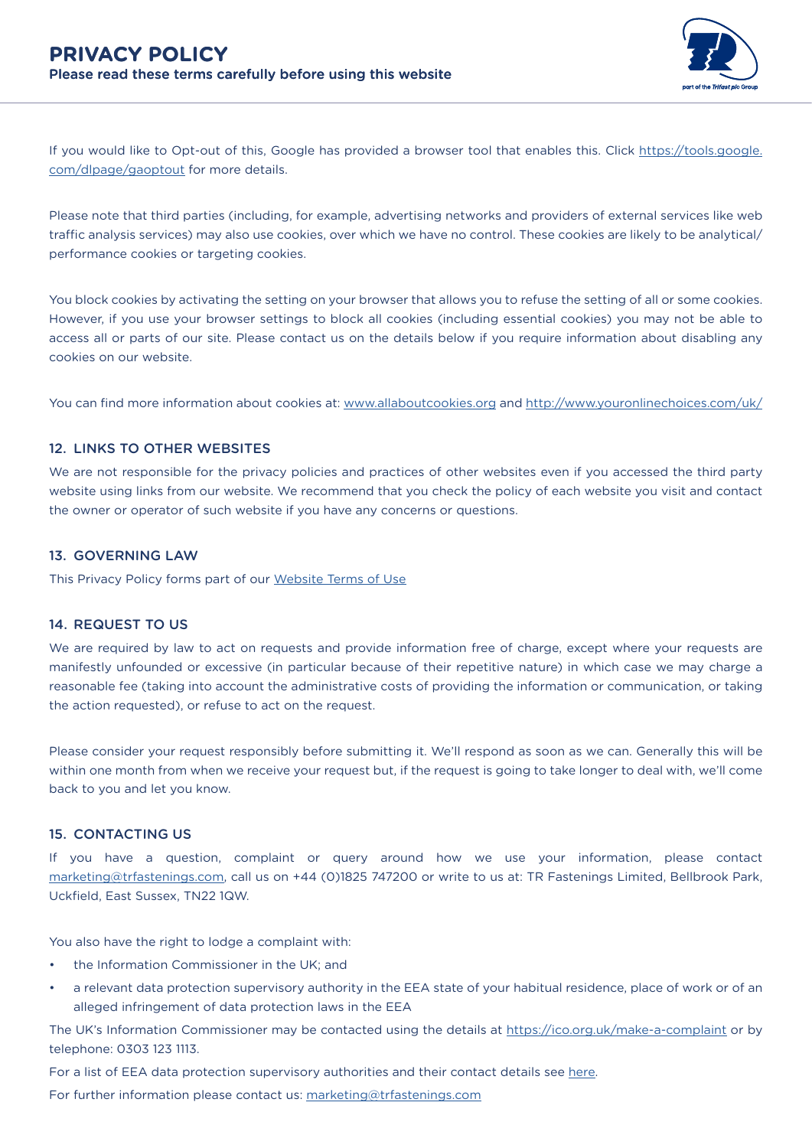

If you would like to Opt-out of this, Google has provided a browser tool that enables this. Click [https://tools.google.](https://tools.google.com/dlpage/gaoptout) [com/dlpage/gaoptout](https://tools.google.com/dlpage/gaoptout) for more details.

Please note that third parties (including, for example, advertising networks and providers of external services like web traffic analysis services) may also use cookies, over which we have no control. These cookies are likely to be analytical/ performance cookies or targeting cookies.

You block cookies by activating the setting on your browser that allows you to refuse the setting of all or some cookies. However, if you use your browser settings to block all cookies (including essential cookies) you may not be able to access all or parts of our site. Please contact us on the details below if you require information about disabling any cookies on our website.

You can find more information about cookies at: [www.allaboutcookies.org](http://www.allaboutcookies.org) and [http://www.youronlinechoices.com/uk/](https://www.youronlinechoices.com/uk/)

## 12. LINKS TO OTHER WEBSITES

We are not responsible for the privacy policies and practices of other websites even if you accessed the third party website using links from our website. We recommend that you check the policy of each website you visit and contact the owner or operator of such website if you have any concerns or questions.

#### 13. GOVERNING LAW

This Privacy Policy forms part of our [Website Terms of Use](https://www.trfastenings.com/Company/Documentation-and-Policies)

#### 14. REQUEST TO US

We are required by law to act on requests and provide information free of charge, except where your requests are manifestly unfounded or excessive (in particular because of their repetitive nature) in which case we may charge a reasonable fee (taking into account the administrative costs of providing the information or communication, or taking the action requested), or refuse to act on the request.

Please consider your request responsibly before submitting it. We'll respond as soon as we can. Generally this will be within one month from when we receive your request but, if the request is going to take longer to deal with, we'll come back to you and let you know.

#### 15. CONTACTING US

If you have a question, complaint or query around how we use your information, please contact [marketing@trfastenings.com](mailto:marketing%40trfastenings.com?subject=), call us on +44 (0)1825 747200 or write to us at: TR Fastenings Limited, Bellbrook Park, Uckfield, East Sussex, TN22 1QW.

You also have the right to lodge a complaint with:

- the Information Commissioner in the UK; and
- a relevant data protection supervisory authority in the EEA state of your habitual residence, place of work or of an alleged infringement of data protection laws in the EEA

The UK's Information Commissioner may be contacted using the details at [https://ico.org.uk/make-a-complaint](http://ico.org.uk/make-a-complaint) or by telephone: 0303 123 1113.

For a list of EEA data protection supervisory authorities and their contact details see [here](https://edpb.europa.eu/about-edpb/about-edpb/members_en).

For further information please contact us: [marketing@trfastenings.com](mailto:marketing%40trfastenings.com?subject=)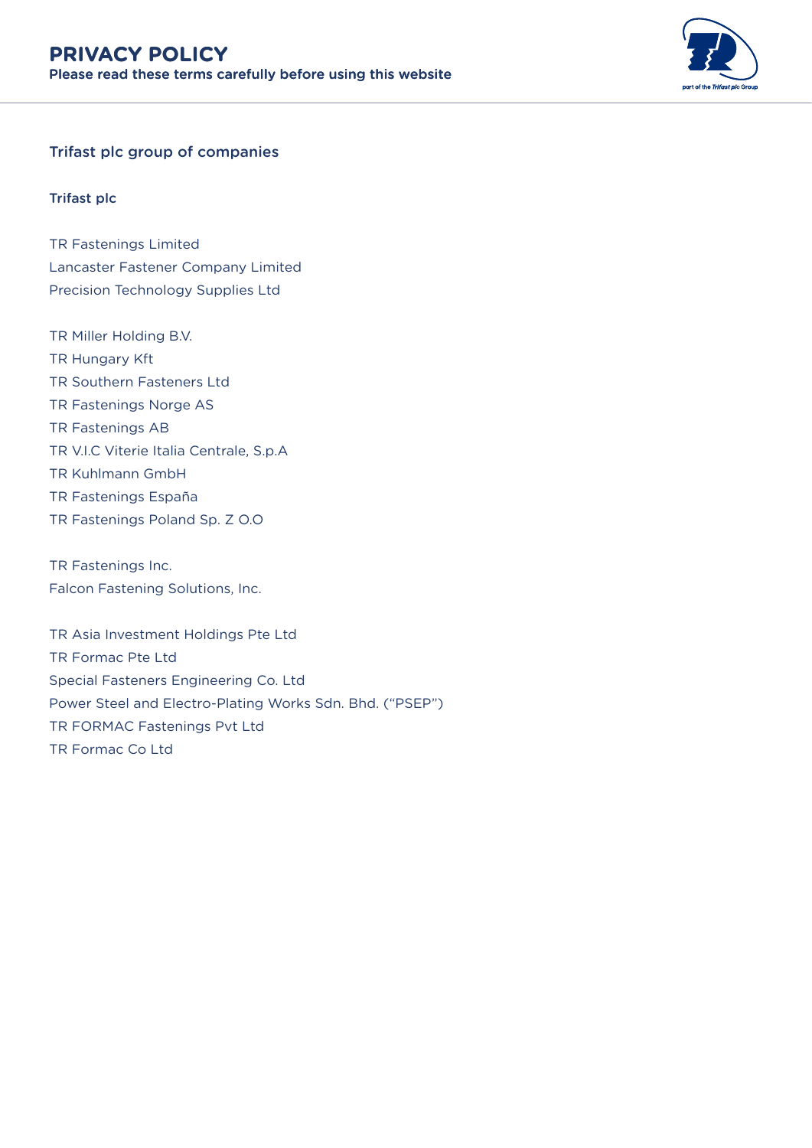

# Trifast plc group of companies

# Trifast plc

TR Fastenings Limited Lancaster Fastener Company Limited Precision Technology Supplies Ltd

TR Miller Holding B.V. TR Hungary Kft TR Southern Fasteners Ltd TR Fastenings Norge AS TR Fastenings AB TR V.I.C Viterie Italia Centrale, S.p.A TR Kuhlmann GmbH TR Fastenings España TR Fastenings Poland Sp. Z O.O

TR Fastenings Inc. Falcon Fastening Solutions, Inc.

TR Asia Investment Holdings Pte Ltd TR Formac Pte Ltd Special Fasteners Engineering Co. Ltd Power Steel and Electro-Plating Works Sdn. Bhd. ("PSEP") TR FORMAC Fastenings Pvt Ltd TR Formac Co Ltd